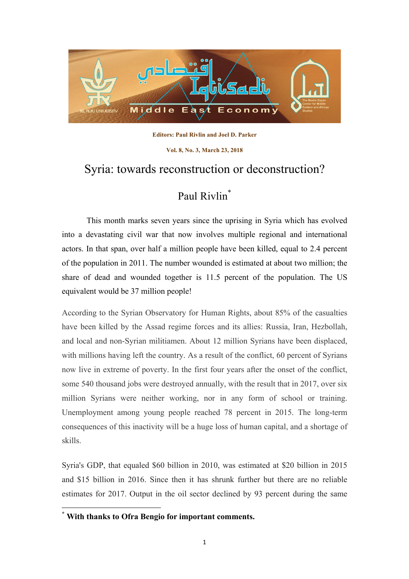

**Editors: Paul Rivlin and Joel D. Parker** 

**Vol. 8, No. 3, March 23, 2018**

## Syria: towards reconstruction or deconstruction?

## Paul Rivlin<sup>\*</sup>

This month marks seven years since the uprising in Syria which has evolved into a devastating civil war that now involves multiple regional and international actors. In that span, over half a million people have been killed, equal to 2.4 percent of the population in 2011. The number wounded is estimated at about two million; the share of dead and wounded together is 11.5 percent of the population. The US equivalent would be 37 million people!

According to the Syrian Observatory for Human Rights, about 85% of the casualties have been killed by the Assad regime forces and its allies: Russia, Iran, Hezbollah, and local and non-Syrian militiamen. About 12 million Syrians have been displaced, with millions having left the country. As a result of the conflict, 60 percent of Syrians now live in extreme of poverty. In the first four years after the onset of the conflict, some 540 thousand jobs were destroyed annually, with the result that in 2017, over six million Syrians were neither working, nor in any form of school or training. Unemployment among young people reached 78 percent in 2015. The long-term consequences of this inactivity will be a huge loss of human capital, and a shortage of skills.

Syria's GDP, that equaled \$60 billion in 2010, was estimated at \$20 billion in 2015 and \$15 billion in 2016. Since then it has shrunk further but there are no reliable estimates for 2017. Output in the oil sector declined by 93 percent during the same

 **\* With thanks to Ofra Bengio for important comments.**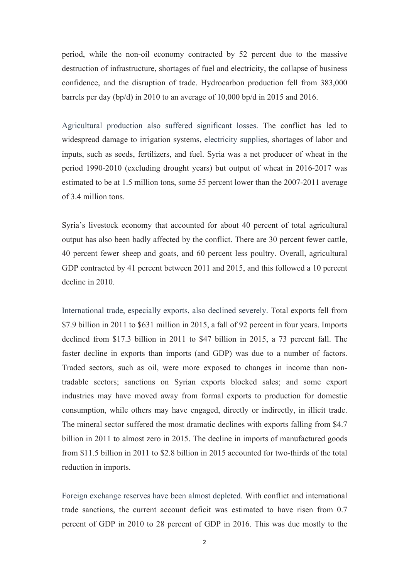period, while the non-oil economy contracted by 52 percent due to the massive destruction of infrastructure, shortages of fuel and electricity, the collapse of business confidence, and the disruption of trade. Hydrocarbon production fell from 383,000 barrels per day (bp/d) in 2010 to an average of 10,000 bp/d in 2015 and 2016.

Agricultural production also suffered significant losses. The conflict has led to widespread damage to irrigation systems, electricity supplies, shortages of labor and inputs, such as seeds, fertilizers, and fuel. Syria was a net producer of wheat in the period 1990-2010 (excluding drought years) but output of wheat in 2016-2017 was estimated to be at 1.5 million tons, some 55 percent lower than the 2007-2011 average of 3.4 million tons.

Syria's livestock economy that accounted for about 40 percent of total agricultural output has also been badly affected by the conflict. There are 30 percent fewer cattle, 40 percent fewer sheep and goats, and 60 percent less poultry. Overall, agricultural GDP contracted by 41 percent between 2011 and 2015, and this followed a 10 percent decline in 2010.

International trade, especially exports, also declined severely. Total exports fell from \$7.9 billion in 2011 to \$631 million in 2015, a fall of 92 percent in four years. Imports declined from \$17.3 billion in 2011 to \$47 billion in 2015, a 73 percent fall. The faster decline in exports than imports (and GDP) was due to a number of factors. Traded sectors, such as oil, were more exposed to changes in income than nontradable sectors; sanctions on Syrian exports blocked sales; and some export industries may have moved away from formal exports to production for domestic consumption, while others may have engaged, directly or indirectly, in illicit trade. The mineral sector suffered the most dramatic declines with exports falling from \$4.7 billion in 2011 to almost zero in 2015. The decline in imports of manufactured goods from \$11.5 billion in 2011 to \$2.8 billion in 2015 accounted for two-thirds of the total reduction in imports.

Foreign exchange reserves have been almost depleted. With conflict and international trade sanctions, the current account deficit was estimated to have risen from 0.7 percent of GDP in 2010 to 28 percent of GDP in 2016. This was due mostly to the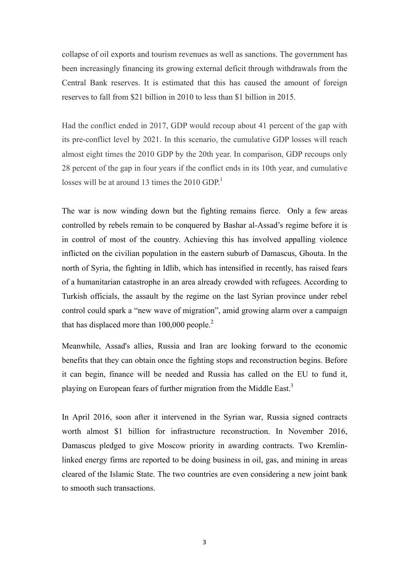collapse of oil exports and tourism revenues as well as sanctions. The government has been increasingly financing its growing external deficit through withdrawals from the Central Bank reserves. It is estimated that this has caused the amount of foreign reserves to fall from \$21 billion in 2010 to less than \$1 billion in 2015.

Had the conflict ended in 2017, GDP would recoup about 41 percent of the gap with its pre-conflict level by 2021. In this scenario, the cumulative GDP losses will reach almost eight times the 2010 GDP by the 20th year. In comparison, GDP recoups only 28 percent of the gap in four years if the conflict ends in its 10th year, and cumulative losses will be at around 13 times the  $2010$  GDP.<sup>1</sup>

The war is now winding down but the fighting remains fierce. Only a few areas controlled by rebels remain to be conquered by Bashar al-Assad's regime before it is in control of most of the country. Achieving this has involved appalling violence inflicted on the civilian population in the eastern suburb of Damascus, Ghouta. In the north of Syria, the fighting in Idlib, which has intensified in recently, has raised fears of a humanitarian catastrophe in an area already crowded with refugees. According to Turkish officials, the assault by the regime on the last Syrian province under rebel control could spark a "new wave of migration", amid growing alarm over a campaign that has displaced more than  $100,000$  people.<sup>2</sup>

Meanwhile, Assad's allies, Russia and Iran are looking forward to the economic benefits that they can obtain once the fighting stops and reconstruction begins. Before it can begin, finance will be needed and Russia has called on the EU to fund it, playing on European fears of further migration from the Middle East.<sup>3</sup>

In April 2016, soon after it intervened in the Syrian war, Russia signed contracts worth almost \$1 billion for infrastructure reconstruction. In November 2016, Damascus pledged to give Moscow priority in awarding contracts. Two Kremlinlinked energy firms are reported to be doing business in oil, gas, and mining in areas cleared of the Islamic State. The two countries are even considering a new joint bank to smooth such transactions.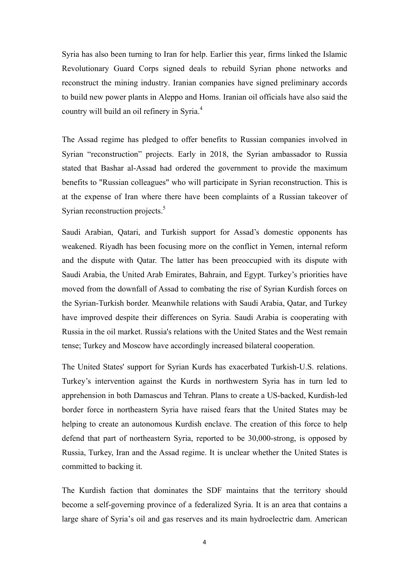Syria has also been turning to Iran for help. Earlier this year, firms linked the Islamic Revolutionary Guard Corps signed deals to rebuild Syrian phone networks and reconstruct the mining industry. Iranian companies have signed preliminary accords to build new power plants in Aleppo and Homs. Iranian oil officials have also said the country will build an oil refinery in Syria.<sup>4</sup>

The Assad regime has pledged to offer benefits to Russian companies involved in Syrian "reconstruction" projects. Early in 2018, the Syrian ambassador to Russia stated that Bashar al-Assad had ordered the government to provide the maximum benefits to "Russian colleagues" who will participate in Syrian reconstruction. This is at the expense of Iran where there have been complaints of a Russian takeover of Syrian reconstruction projects.<sup>5</sup>

Saudi Arabian, Qatari, and Turkish support for Assad's domestic opponents has weakened. Riyadh has been focusing more on the conflict in Yemen, internal reform and the dispute with Qatar. The latter has been preoccupied with its dispute with Saudi Arabia, the United Arab Emirates, Bahrain, and Egypt. Turkey's priorities have moved from the downfall of Assad to combating the rise of Syrian Kurdish forces on the Syrian-Turkish border. Meanwhile relations with Saudi Arabia, Qatar, and Turkey have improved despite their differences on Syria. Saudi Arabia is cooperating with Russia in the oil market. Russia's relations with the United States and the West remain tense; Turkey and Moscow have accordingly increased bilateral cooperation.

The United States' support for Syrian Kurds has exacerbated Turkish-U.S. relations. Turkey's intervention against the Kurds in northwestern Syria has in turn led to apprehension in both Damascus and Tehran. Plans to create a US-backed, Kurdish-led border force in northeastern Syria have raised fears that the United States may be helping to create an autonomous Kurdish enclave. The creation of this force to help defend that part of northeastern Syria, reported to be 30,000-strong, is opposed by Russia, Turkey, Iran and the Assad regime. It is unclear whether the United States is committed to backing it.

The Kurdish faction that dominates the SDF maintains that the territory should become a self-governing province of a federalized Syria. It is an area that contains a large share of Syria's oil and gas reserves and its main hydroelectric dam. American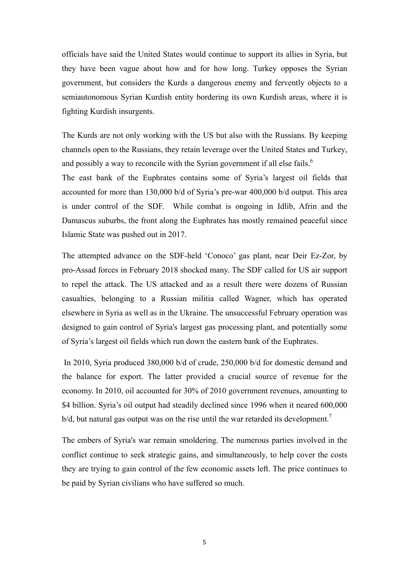officials have said the United States would continue to support its allies in Syria, but they have been vague about how and for how long. Turkey opposes the Syrian government, but considers the Kurds a dangerous enemy and fervently objects to a semiautonomous Syrian Kurdish entity bordering its own Kurdish areas, where it is fighting Kurdish insurgents.

The Kurds are not only working with the US but also with the Russians. By keeping channels open to the Russians, they retain leverage over the United States and Turkey, and possibly a way to reconcile with the Syrian government if all else fails.<sup>6</sup>

The east bank of the Euphrates contains some of Syria's largest oil fields that accounted for more than 130,000 b/d of Syria's pre-war 400,000 b/d output. This area is under control of the SDF. While combat is ongoing in Idlib, Afrin and the Damascus suburbs, the front along the Euphrates has mostly remained peaceful since Islamic State was pushed out in 2017.

The attempted advance on the SDF-held 'Conoco' gas plant, near Deir Ez-Zor, by pro-Assad forces in February 2018 shocked many. The SDF called for US air support to repel the attack. The US attacked and as a result there were dozens of Russian casualties, belonging to a Russian militia called Wagner, which has operated elsewhere in Syria as well as in the Ukraine. The unsuccessful February operation was designed to gain control of Syria's largest gas processing plant, and potentially some of Syria's largest oil fields which run down the eastern bank of the Euphrates.

In 2010, Syria produced 380,000 b/d of crude, 250,000 b/d for domestic demand and the balance for export. The latter provided a crucial source of revenue for the economy. In 2010, oil accounted for 30% of 2010 government revenues, amounting to \$4 billion. Syria's oil output had steadily declined since 1996 when it neared 600,000  $b/d$ , but natural gas output was on the rise until the war retarded its development.<sup>7</sup>

The embers of Syria's war remain smoldering. The numerous parties involved in the conflict continue to seek strategic gains, and simultaneously, to help cover the costs they are trying to gain control of the few economic assets left. The price continues to be paid by Syrian civilians who have suffered so much.